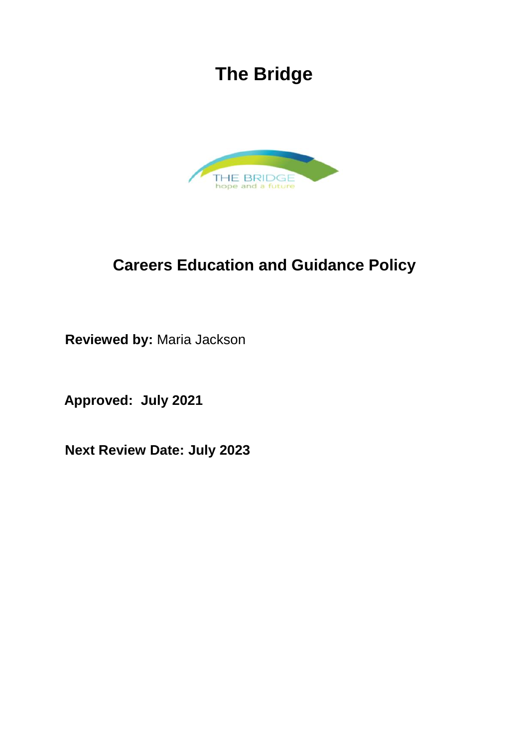# **The Bridge**



# **Careers Education and Guidance Policy**

**Reviewed by:** Maria Jackson

**Approved: July 2021**

**Next Review Date: July 2023**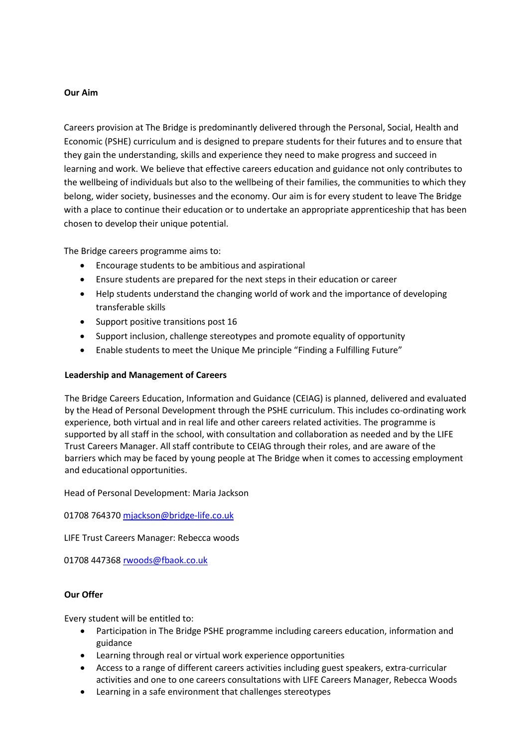# **Our Aim**

Careers provision at The Bridge is predominantly delivered through the Personal, Social, Health and Economic (PSHE) curriculum and is designed to prepare students for their futures and to ensure that they gain the understanding, skills and experience they need to make progress and succeed in learning and work. We believe that effective careers education and guidance not only contributes to the wellbeing of individuals but also to the wellbeing of their families, the communities to which they belong, wider society, businesses and the economy. Our aim is for every student to leave The Bridge with a place to continue their education or to undertake an appropriate apprenticeship that has been chosen to develop their unique potential.

The Bridge careers programme aims to:

- Encourage students to be ambitious and aspirational
- Ensure students are prepared for the next steps in their education or career
- Help students understand the changing world of work and the importance of developing transferable skills
- Support positive transitions post 16
- Support inclusion, challenge stereotypes and promote equality of opportunity
- Enable students to meet the Unique Me principle "Finding a Fulfilling Future"

# **Leadership and Management of Careers**

The Bridge Careers Education, Information and Guidance (CEIAG) is planned, delivered and evaluated by the Head of Personal Development through the PSHE curriculum. This includes co-ordinating work experience, both virtual and in real life and other careers related activities. The programme is supported by all staff in the school, with consultation and collaboration as needed and by the LIFE Trust Careers Manager. All staff contribute to CEIAG through their roles, and are aware of the barriers which may be faced by young people at The Bridge when it comes to accessing employment and educational opportunities.

Head of Personal Development: Maria Jackson

01708 76437[0 mjackson@bridge-life.co.uk](mailto:mjackson@bridge-life.co.uk)

LIFE Trust Careers Manager: Rebecca woods

01708 44736[8 rwoods@fbaok.co.uk](mailto:rwoods@fbaok.co.uk)

# **Our Offer**

Every student will be entitled to:

- Participation in The Bridge PSHE programme including careers education, information and guidance
- Learning through real or virtual work experience opportunities
- Access to a range of different careers activities including guest speakers, extra-curricular activities and one to one careers consultations with LIFE Careers Manager, Rebecca Woods
- Learning in a safe environment that challenges stereotypes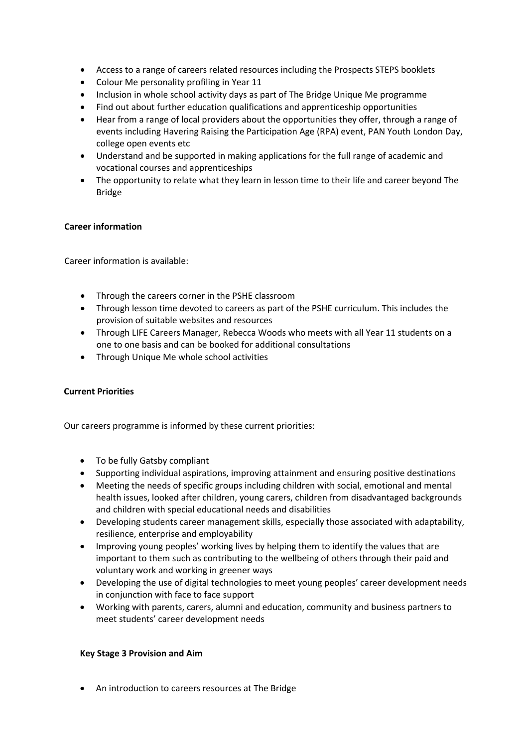- Access to a range of careers related resources including the Prospects STEPS booklets
- Colour Me personality profiling in Year 11
- Inclusion in whole school activity days as part of The Bridge Unique Me programme
- Find out about further education qualifications and apprenticeship opportunities
- Hear from a range of local providers about the opportunities they offer, through a range of events including Havering Raising the Participation Age (RPA) event, PAN Youth London Day, college open events etc
- Understand and be supported in making applications for the full range of academic and vocational courses and apprenticeships
- The opportunity to relate what they learn in lesson time to their life and career beyond The Bridge

# **Career information**

Career information is available:

- Through the careers corner in the PSHE classroom
- Through lesson time devoted to careers as part of the PSHE curriculum. This includes the provision of suitable websites and resources
- Through LIFE Careers Manager, Rebecca Woods who meets with all Year 11 students on a one to one basis and can be booked for additional consultations
- Through Unique Me whole school activities

#### **Current Priorities**

Our careers programme is informed by these current priorities:

- To be fully Gatsby compliant
- Supporting individual aspirations, improving attainment and ensuring positive destinations
- Meeting the needs of specific groups including children with social, emotional and mental health issues, looked after children, young carers, children from disadvantaged backgrounds and children with special educational needs and disabilities
- Developing students career management skills, especially those associated with adaptability, resilience, enterprise and employability
- Improving young peoples' working lives by helping them to identify the values that are important to them such as contributing to the wellbeing of others through their paid and voluntary work and working in greener ways
- Developing the use of digital technologies to meet young peoples' career development needs in conjunction with face to face support
- Working with parents, carers, alumni and education, community and business partners to meet students' career development needs

#### **Key Stage 3 Provision and Aim**

• An introduction to careers resources at The Bridge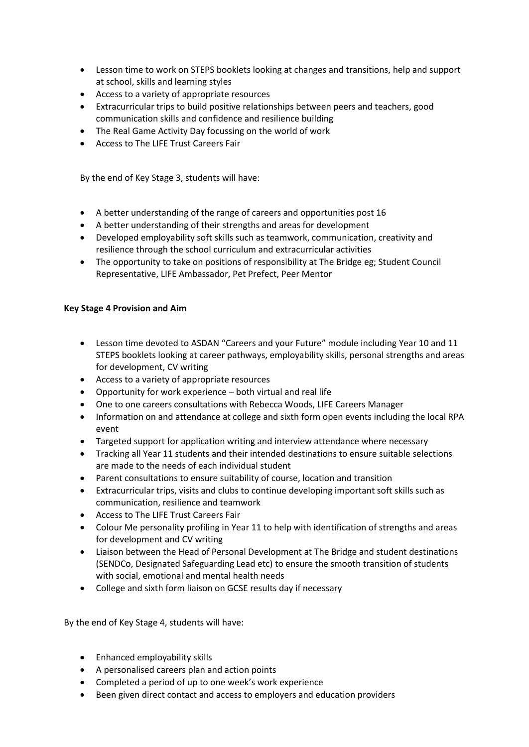- Lesson time to work on STEPS booklets looking at changes and transitions, help and support at school, skills and learning styles
- Access to a variety of appropriate resources
- Extracurricular trips to build positive relationships between peers and teachers, good communication skills and confidence and resilience building
- The Real Game Activity Day focussing on the world of work
- Access to The LIFE Trust Careers Fair

By the end of Key Stage 3, students will have:

- A better understanding of the range of careers and opportunities post 16
- A better understanding of their strengths and areas for development
- Developed employability soft skills such as teamwork, communication, creativity and resilience through the school curriculum and extracurricular activities
- The opportunity to take on positions of responsibility at The Bridge eg; Student Council Representative, LIFE Ambassador, Pet Prefect, Peer Mentor

# **Key Stage 4 Provision and Aim**

- Lesson time devoted to ASDAN "Careers and your Future" module including Year 10 and 11 STEPS booklets looking at career pathways, employability skills, personal strengths and areas for development, CV writing
- Access to a variety of appropriate resources
- Opportunity for work experience both virtual and real life
- One to one careers consultations with Rebecca Woods, LIFE Careers Manager
- Information on and attendance at college and sixth form open events including the local RPA event
- Targeted support for application writing and interview attendance where necessary
- Tracking all Year 11 students and their intended destinations to ensure suitable selections are made to the needs of each individual student
- Parent consultations to ensure suitability of course, location and transition
- Extracurricular trips, visits and clubs to continue developing important soft skills such as communication, resilience and teamwork
- Access to The LIFE Trust Careers Fair
- Colour Me personality profiling in Year 11 to help with identification of strengths and areas for development and CV writing
- Liaison between the Head of Personal Development at The Bridge and student destinations (SENDCo, Designated Safeguarding Lead etc) to ensure the smooth transition of students with social, emotional and mental health needs
- College and sixth form liaison on GCSE results day if necessary

By the end of Key Stage 4, students will have:

- Enhanced employability skills
- A personalised careers plan and action points
- Completed a period of up to one week's work experience
- Been given direct contact and access to employers and education providers